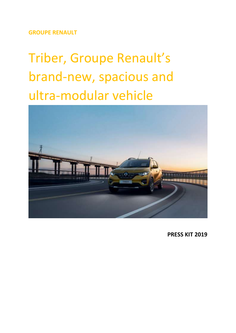#### **GROUPE RENAULT**

### Triber, Groupe Renault's brand-new, spacious and ultra-modular vehicle



**PRESS KIT 2019**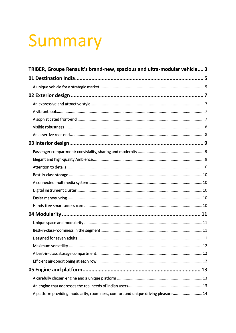# Summary

| TRIBER, Groupe Renault's brand-new, spacious and ultra-modular vehicle 3           |  |
|------------------------------------------------------------------------------------|--|
|                                                                                    |  |
|                                                                                    |  |
|                                                                                    |  |
|                                                                                    |  |
|                                                                                    |  |
|                                                                                    |  |
|                                                                                    |  |
|                                                                                    |  |
|                                                                                    |  |
|                                                                                    |  |
|                                                                                    |  |
|                                                                                    |  |
|                                                                                    |  |
|                                                                                    |  |
|                                                                                    |  |
|                                                                                    |  |
|                                                                                    |  |
|                                                                                    |  |
|                                                                                    |  |
|                                                                                    |  |
|                                                                                    |  |
|                                                                                    |  |
|                                                                                    |  |
|                                                                                    |  |
|                                                                                    |  |
|                                                                                    |  |
|                                                                                    |  |
| A platform providing modularity, roominess, comfort and unique driving pleasure 14 |  |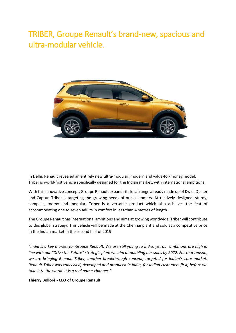### <span id="page-2-0"></span>TRIBER, Groupe Renault's brand-new, spacious and ultra-modular vehicle.



In Delhi, Renault revealed an entirely new ultra-modular, modern and value-for-money model. Triber is world-first vehicle specifically designed for the Indian market, with international ambitions.

With this innovative concept, Groupe Renault expands its local range already made up of Kwid, Duster and Captur. Triber is targeting the growing needs of our customers. Attractively designed, sturdy, compact, roomy and modular, Triber is a versatile product which also achieves the feat of accommodating one to seven adults in comfort in less-than 4 metres of length.

The Groupe Renault has international ambitions and aims at growing worldwide. Triber will contribute to this global strategy. This vehicle will be made at the Chennai plant and sold at a competitive price in the Indian market in the second half of 2019.

*"India is a key market for Groupe Renault. We are still young to India, yet our ambitions are high in line with our "Drive the Future" strategic plan: we aim at doubling our sales by 2022. For that reason, we are bringing Renault Triber, another breakthrough concept, targeted for Indian's core market. Renault Triber was conceived, developed and produced in India, for Indian customers first, before we take it to the world. It is a real game-changer."*

**Thierry Bolloré - CEO of Groupe Renault**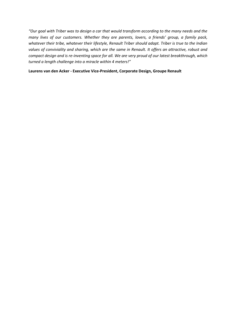*"Our goal with Triber was to design a car that would transform according to the many needs and the many lives of our customers. Whether they are parents, lovers, a friends' group, a family pack, whatever their tribe, whatever their lifestyle, Renault Triber should adapt. Triber is true to the Indian values of conviviality and sharing, which are the same in Renault. It offers an attractive, robust and compact design and is re-inventing space for all. We are very proud of our latest breakthrough, which turned a length challenge into a miracle within 4 meters!"*

**Laurens van den Acker - Executive Vice-President, Corporate Design, Groupe Renault**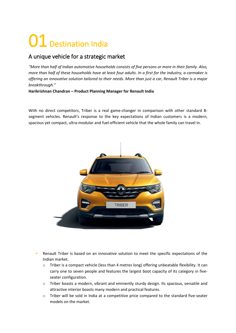### <span id="page-4-0"></span>01 Destination India

#### <span id="page-4-1"></span>A unique vehicle for a strategic market

*"More than half of Indian automotive households consists of five persons or more in their family. Also, more than half of these households have at least four adults. In a first for the industry, a carmaker is offering an innovative solution tailored to their needs. More than just a car, Renault Triber is a major breakthrough."*

**Harikrishnan Chandran – Product Planning Manager for Renault India**

With no direct competitors, Triber is a real game-changer in comparison with other standard Bsegment vehicles. Renault's response to the key expectations of Indian customers is a modern, spacious yet compact, ultra-modular and fuel-efficient vehicle that the whole family can travel in.



- Renault Triber is based on an innovative solution to meet the specific expectations of the Indian market.
	- $\circ$  Triber is a compact vehicle (less than 4 metres long) offering unbeatable flexibility. It can carry one to seven people and features the largest boot capacity of its category in fiveseater configuration.
	- o Triber boasts a modern, vibrant and eminently sturdy design. Its spacious, versatile and attractive interior boasts many modern and practical features.
	- o Triber will be sold in India at a competitive price compared to the standard five-seater models on the market.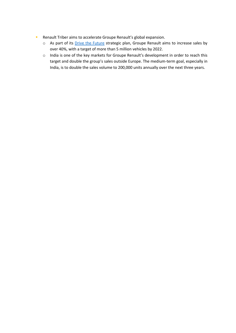- **E** Renault Triber aims to accelerate Groupe Renault's global expansion.
	- o As part of its [Drive the Future](https://drivethefuture.groupe.renault.com/en) strategic plan, Groupe Renault aims to increase sales by over 40%, with a target of more than 5 million vehicles by 2022.
	- o India is one of the key markets for Groupe Renault's development in order to reach this target and double the group's sales outside Europe. The medium-term goal, especially in India, is to double the sales volume to 200,000 units annually over the next three years.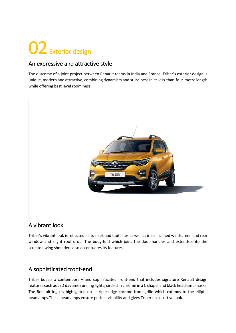# <span id="page-6-0"></span>02 Exterior design

#### <span id="page-6-1"></span>An expressive and attractive style

The outcome of a joint project between Renault teams in India and France, Triber's exterior design is unique, modern and attractive, combining dynamism and sturdiness in its less-than-four-metre length while offering best level roominess.



#### <span id="page-6-2"></span>A vibrant look

Triber's vibrant look is reflected in its sleek and taut lines as well as in its inclined windscreen and rear window and slight roof drop. The body-fold which joins the door handles and extends onto the sculpted wing shoulders also accentuates its features.

#### <span id="page-6-3"></span>A sophisticated front-end

Triber boasts a contemporary and sophisticated front-end that includes signature Renault design features such as LED daytime running lights, circled in chrome in a C shape, and black headlamp masks. The Renault logo is highlighted on a triple edge chrome front grille which extends to the elliptic headlamps.These headlamps ensure perfect visibility and gives Triber an assertive look.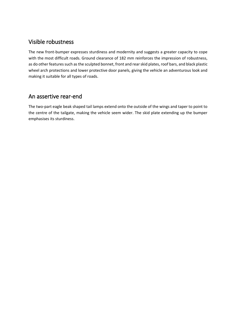#### <span id="page-7-0"></span>Visible robustness

The new front-bumper expresses sturdiness and modernity and suggests a greater capacity to cope with the most difficult roads. Ground clearance of 182 mm reinforces the impression of robustness, as do other features such as the sculpted bonnet, front and rear skid plates, roof bars, and black plastic wheel arch protections and lower protective door panels, giving the vehicle an adventurous look and making it suitable for all types of roads.

#### <span id="page-7-1"></span>An assertive rear-end

The two-part eagle beak shaped tail lamps extend onto the outside of the wings and taper to point to the centre of the tailgate, making the vehicle seem wider. The skid plate extending up the bumper emphasises its sturdiness.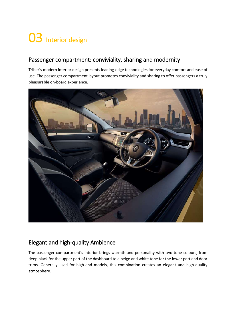### <span id="page-8-0"></span>03 Interior design

#### <span id="page-8-1"></span>Passenger compartment: conviviality, sharing and modernity

Triber's modern interior design presents leading-edge technologies for everyday comfort and ease of use. The passenger compartment layout promotes conviviality and sharing to offer passengers a truly pleasurable on-board experience.



#### <span id="page-8-2"></span>Elegant and high-quality Ambience

The passenger compartment's interior brings warmth and personality with two-tone colours, from deep black for the upper part of the dashboard to a beige and white tone for the lower part and door trims. Generally used for high-end models, this combination creates an elegant and high-quality atmosphere.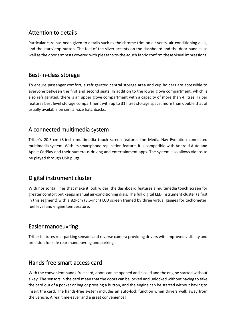#### <span id="page-9-0"></span>Attention to details

Particular care has been given to details such as the chrome trim on air vents, air-conditioning dials, and the start/stop button. The feel of the silver accents on the dashboard and the door handles as well as the door armrests covered with pleasant-to-the-touch fabric confirm these visual impressions.

#### <span id="page-9-1"></span>Best-in-class storage

To ensure passenger comfort, a refrigerated central storage area and cup holders are accessible to everyone between the first and second seats. In addition to the lower glove compartment, which is also refrigerated, there is an upper glove compartment with a capacity of more than 4 litres. Triber features best level storage compartment with up to 31 litres storage space, more than double that of usually available on similar-size hatchbacks.

#### <span id="page-9-2"></span>A connected multimedia system

Triber's 20.3-cm (8-inch) multimedia touch screen features the Media Nav Evolution connected multimedia system. With its smartphone replication feature, it is compatible with Android Auto and Apple CarPlay and their numerous driving and entertainment apps. The system also allows videos to be played through USB plugs.

#### <span id="page-9-3"></span>Digital instrument cluster

With horizontal lines that make it look wider, the dashboard features a multimedia touch screen for greater comfort but keeps manual air-conditioning dials. The full digital LED instrument cluster (a first in this segment) with a 8.9-cm (3.5-inch) LCD screen framed by three virtual gauges for tachometer, fuel level and engine temperature.

#### <span id="page-9-4"></span>Easier manoeuvring

Triber features rear parking sensors and reverse camera providing drivers with improved visibility and precision for safe rear manoeuvring and parking.

#### <span id="page-9-5"></span>Hands-free smart access card

With the convenient hands-free card, doors can be opened and closed and the engine started without a key. The sensors in the card mean that the doors can be locked and unlocked without having to take the card out of a pocket or bag or pressing a button, and the engine can be started without having to insert the card. The hands-free system includes an auto-lock function when drivers walk away from the vehicle. A real time-saver and a great convenience!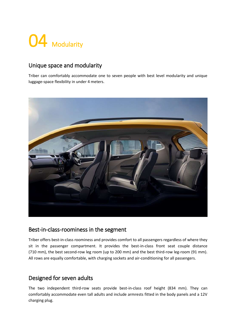### <span id="page-10-0"></span>4 Modularity

#### <span id="page-10-1"></span>Unique space and modularity

Triber can comfortably accommodate one to seven people with best level modularity and unique luggage-space flexibility in under 4 meters.



#### <span id="page-10-2"></span>Best-in-class-roominess in the segment

Triber offers best-in-class roominess and provides comfort to all passengers regardless of where they sit in the passenger compartment. It provides the best-in-class front seat couple distance (710 mm), the best second-row leg room (up to 200 mm) and the best third-row leg-room (91 mm). All rows are equally comfortable, with charging sockets and air-conditioning for all passengers.

#### <span id="page-10-3"></span>Designed for seven adults

The two independent third-row seats provide best-in-class roof height (834 mm). They can comfortably accommodate even tall adults and include armrests fitted in the body panels and a 12V charging plug.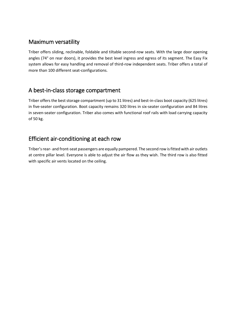#### <span id="page-11-0"></span>Maximum versatility

Triber offers sliding, reclinable, foldable and tiltable second-row seats. With the large door opening angles (74° on rear doors), it provides the best level ingress and egress of its segment. The Easy Fix system allows for easy handling and removal of third-row independent seats. Triber offers a total of more than 100 different seat-configurations.

#### <span id="page-11-1"></span>A best-in-class storage compartment

Triber offers the best storage compartment (up to 31 litres) and best-in-class boot capacity (625 litres) in five-seater configuration. Boot capacity remains 320 litres in six-seater configuration and 84 litres in seven-seater configuration. Triber also comes with functional roof rails with load carrying capacity of 50 kg.

#### <span id="page-11-2"></span>Efficient air-conditioning at each row

Triber's rear- and front-seat passengers are equally pampered. The second row is fitted with air outlets at centre pillar level. Everyone is able to adjust the air flow as they wish. The third row is also fitted with specific air vents located on the ceiling.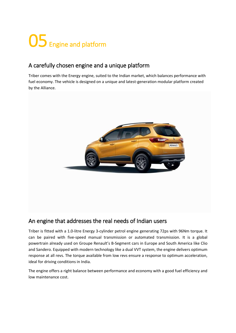### <span id="page-12-0"></span>05 Engine and platform

#### <span id="page-12-1"></span>A carefully chosen engine and a unique platform

Triber comes with the Energy engine, suited to the Indian market, which balances performance with fuel economy. The vehicle is designed on a unique and latest-generation modular platform created by the Alliance.



#### <span id="page-12-2"></span>An engine that addresses the real needs of Indian users

Triber is fitted with a 1.0-litre Energy 3-cylinder petrol engine generating 72ps with 96Nm torque. It can be paired with five-speed manual transmission or automated transmission. It is a global powertrain already used on Groupe Renault's B-Segment cars in Europe and South America like Clio and Sandero. Equipped with modern technology like a dual VVT system, the engine delivers optimum response at all revs. The torque available from low revs ensure a response to optimum acceleration, ideal for driving conditions in India.

The engine offers a right balance between performance and economy with a good fuel efficiency and low maintenance cost.